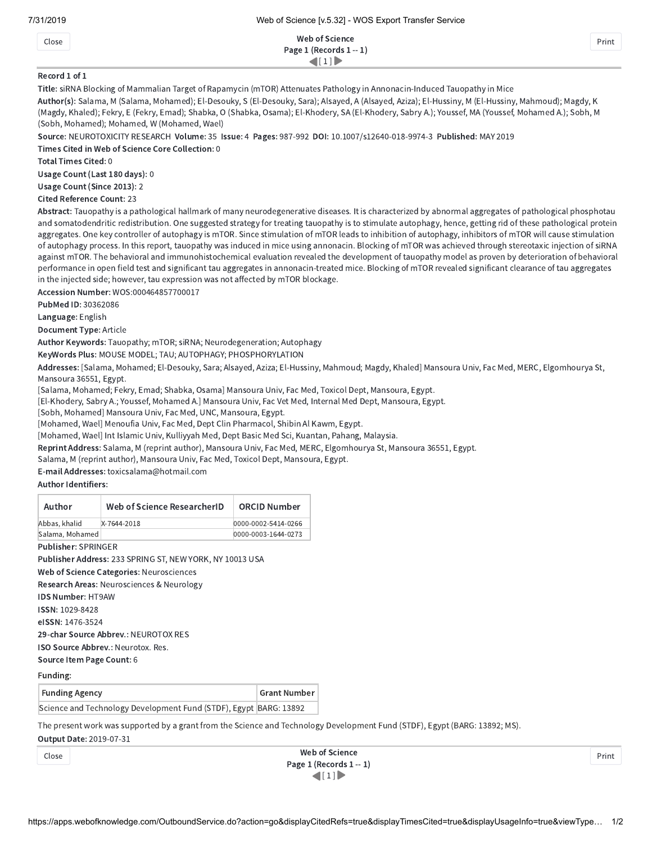Close Web of Science Page 1 (Records 1 -- 1)  $\left( 1 \right)$ 

Print

Print

## Record 1 of 1

Title: siRNA Blocking of Mammalian Target of Rapamycin (mTOR) Attenuates Pathology in Annonacin-Induced Tauopathy in Mice

Author(s): Salama, M (Salama, Mohamed); El-Desouky, S (El-Desouky, Sara); Alsayed, A (Alsayed, Aziza); El-Hussiny, M (El-Hussiny, Mahmoud); Magdy, K (Magdy, Khaled); Fekry, E (Fekry, Emad); Shabka, O (Shabka, Osama); El-Khodery, SA (El-Khodery, Sabry A.); Youssef, MA (Youssef, Mohamed A.); Sobh, M (Sobh, Mohamed); Mohamed, W (Mohamed, Wael)

Source: NEUROTOXICITY RESEARCH Volume: 35 Issue: 4 Pages: 987-992 DOI: 10.1007/s12640-018-9974-3 Published: MAY 2019

Times Cited in Web of Science Core Collection: 0

Total Times Cited: 0

Usage Count (Last 180 days): 0

Usage Count (Since 2013): 2

Cited Reference Count: 23

Abstract: Tauopathy is a pathological hallmark of many neurodegenerative diseases. It is characterized by abnormal aggregates of pathological phosphotau and somatodendritic redistribution. One suggested strategy for treating tauopathy is to stimulate autophagy, hence, getting rid of these pathological protein aggregates. One key controller of autophagy is mTOR. Since stimulation of mTOR leads to inhibition of autophagy, inhibitors of mTOR will cause stimulation of autophagy process. In this report, tauopathy was induced in mice using annonacin. Blocking of mTOR was achieved through stereotaxic injection of siRNA against mTOR. The behavioral and immunohistochemical evaluation revealed the development of tauopathy model as proven by deterioration of behavioral performance in open field test and significant tau aggregates in annonacin-treated mice. Blocking of mTOR revealed significant clearance of tau aggregates in the injected side; however, tau expression was not affected by mTOR blockage.

Accession Number: WOS:000464857700017

PubMed ID: 30362086

Language: English

Document Type: Article

Author Keywords: Tauopathy; mTOR; siRNA; Neurodegeneration; Autophagy

KeyWords Plus: MOUSE MODEL; TAU; AUTOPHAGY; PHOSPHORYLATION

Addresses: [Salama, Mohamed; El-Desouky, Sara; Alsayed, Aziza; El-Hussiny, Mahmoud; Magdy, Khaled] Mansoura Univ, Fac Med, MERC, Elgomhourya St, Mansoura 36551, Egypt.

[Salama, Mohamed; Fekry, Emad; Shabka, Osama] Mansoura Univ, Fac Med, Toxicol Dept, Mansoura, Egypt.

[El-Khodery, Sabry A.; Youssef, Mohamed A.] Mansoura Univ, Fac Vet Med, Internal Med Dept, Mansoura, Egypt.

[Sobh, Mohamed] Mansoura Univ, Fac Med, UNC, Mansoura, Egypt.

[Mohamed, Wael] Menoufia Univ, Fac Med, Dept Clin Pharmacol, Shibin Al Kawm, Egypt.

[Mohamed, Wael] Int Islamic Univ, Kulliyyah Med, Dept Basic Med Sci, Kuantan, Pahang, Malaysia.

Reprint Address: Salama, M (reprint author), Mansoura Univ, Fac Med, MERC, Elgomhourya St, Mansoura 36551, Egypt.

Salama, M (reprint author), Mansoura Univ, Fac Med, Toxicol Dept, Mansoura, Egypt.

E-mail Addresses: toxicsalama@hotmail.com

## Author Identifiers:

| Author                                                            | Web of Science ResearcherID                                              | <b>ORCID Number</b> |
|-------------------------------------------------------------------|--------------------------------------------------------------------------|---------------------|
| Abbas, khalid                                                     | X-7644-2018                                                              | 0000-0002-5414-0266 |
| Salama, Mohamed                                                   |                                                                          | 0000-0003-1644-0273 |
| <b>Publisher: SPRINGER</b>                                        |                                                                          |                     |
|                                                                   | Publisher Address: 233 SPRING ST, NEW YORK, NY 10013 USA                 |                     |
|                                                                   | Web of Science Categories: Neurosciences                                 |                     |
|                                                                   | Research Areas: Neurosciences & Neurology                                |                     |
| <b>IDS Number: HT9AW</b>                                          |                                                                          |                     |
| <b>ISSN: 1029-8428</b>                                            |                                                                          |                     |
| eISSN: 1476-3524                                                  |                                                                          |                     |
|                                                                   | 29-char Source Abbrey.: NEUROTOX RES                                     |                     |
|                                                                   | <b>ISO Source Abbrey.: Neurotox, Res.</b>                                |                     |
| Source Item Page Count: 6                                         |                                                                          |                     |
| Funding:                                                          |                                                                          |                     |
|                                                                   |                                                                          |                     |
| <b>Funding Agency</b>                                             |                                                                          | <b>Grant Number</b> |
| Science and Technology Development Fund (STDF), Egypt BARG: 13892 |                                                                          |                     |
|                                                                   | The present work was supported by a grapt from the Science and Technolog |                     |

Technology Development Fund (STDF), Egypt (BARG: 13892; MS).

Output Date: 2019-07-31

| Close | Web of Science              |
|-------|-----------------------------|
|       | Page $1$ (Records $1 - 1$ ) |
|       | $\left(1\right)$            |